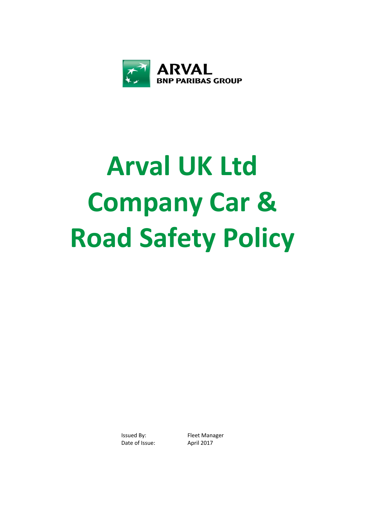

# **Arval UK Ltd Company Car & Road Safety Policy**

Issued By: Fleet Manager Date of Issue: April 2017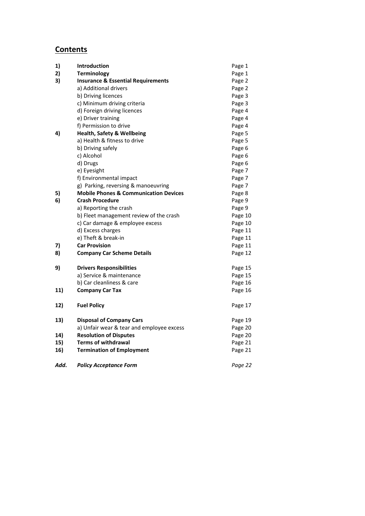# **Contents**

| 1)   | Introduction                                     | Page 1  |
|------|--------------------------------------------------|---------|
| 2)   | <b>Terminology</b>                               | Page 1  |
| 3)   | <b>Insurance &amp; Essential Requirements</b>    | Page 2  |
|      | a) Additional drivers                            | Page 2  |
|      | b) Driving licences                              | Page 3  |
|      | c) Minimum driving criteria                      | Page 3  |
|      | d) Foreign driving licences                      | Page 4  |
|      | e) Driver training                               | Page 4  |
|      | f) Permission to drive                           | Page 4  |
| 4)   | <b>Health, Safety &amp; Wellbeing</b>            | Page 5  |
|      | a) Health & fitness to drive                     | Page 5  |
|      | b) Driving safely                                | Page 6  |
|      | c) Alcohol                                       | Page 6  |
|      | d) Drugs                                         | Page 6  |
|      | e) Eyesight                                      | Page 7  |
|      | f) Environmental impact                          | Page 7  |
|      | g) Parking, reversing & manoeuvring              | Page 7  |
| 5)   | <b>Mobile Phones &amp; Communication Devices</b> | Page 8  |
| 6)   | <b>Crash Procedure</b>                           | Page 9  |
|      | a) Reporting the crash                           | Page 9  |
|      | b) Fleet management review of the crash          | Page 10 |
|      | c) Car damage & employee excess                  | Page 10 |
|      | d) Excess charges                                | Page 11 |
|      | e) Theft & break-in                              | Page 11 |
| 7)   | <b>Car Provision</b>                             | Page 11 |
| 8)   | <b>Company Car Scheme Details</b>                | Page 12 |
| 9)   | <b>Drivers Responsibilities</b>                  | Page 15 |
|      | a) Service & maintenance                         | Page 15 |
|      | b) Car cleanliness & care                        | Page 16 |
| 11)  | <b>Company Car Tax</b>                           | Page 16 |
| 12)  | <b>Fuel Policy</b>                               | Page 17 |
| 13)  | <b>Disposal of Company Cars</b>                  | Page 19 |
|      | a) Unfair wear & tear and employee excess        | Page 20 |
| 14)  | <b>Resolution of Disputes</b>                    | Page 20 |
| 15)  | <b>Terms of withdrawal</b>                       | Page 21 |
| 16)  | <b>Termination of Employment</b>                 | Page 21 |
| Add. | <b>Policy Acceptance Form</b>                    | Page 22 |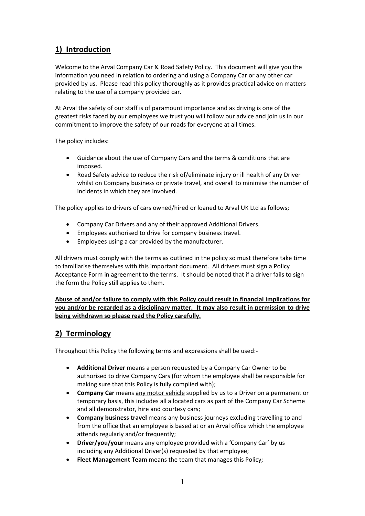# **1) Introduction**

Welcome to the Arval Company Car & Road Safety Policy. This document will give you the information you need in relation to ordering and using a Company Car or any other car provided by us. Please read this policy thoroughly as it provides practical advice on matters relating to the use of a company provided car.

At Arval the safety of our staff is of paramount importance and as driving is one of the greatest risks faced by our employees we trust you will follow our advice and join us in our commitment to improve the safety of our roads for everyone at all times.

The policy includes:

- Guidance about the use of Company Cars and the terms & conditions that are imposed.
- Road Safety advice to reduce the risk of/eliminate injury or ill health of any Driver whilst on Company business or private travel, and overall to minimise the number of incidents in which they are involved.

The policy applies to drivers of cars owned/hired or loaned to Arval UK Ltd as follows;

- Company Car Drivers and any of their approved Additional Drivers.
- Employees authorised to drive for company business travel.
- Employees using a car provided by the manufacturer.

All drivers must comply with the terms as outlined in the policy so must therefore take time to familiarise themselves with this important document. All drivers must sign a Policy Acceptance Form in agreement to the terms. It should be noted that if a driver fails to sign the form the Policy still applies to them.

**Abuse of and/or failure to comply with this Policy could result in financial implications for you and/or be regarded as a disciplinary matter. It may also result in permission to drive being withdrawn so please read the Policy carefully.** 

# **2) Terminology**

Throughout this Policy the following terms and expressions shall be used:‐

- **Additional Driver** means a person requested by a Company Car Owner to be authorised to drive Company Cars (for whom the employee shall be responsible for making sure that this Policy is fully complied with);
- **Company Car** means any motor vehicle supplied by us to a Driver on a permanent or temporary basis, this includes all allocated cars as part of the Company Car Scheme and all demonstrator, hire and courtesy cars;
- **Company business travel** means any business journeys excluding travelling to and from the office that an employee is based at or an Arval office which the employee attends regularly and/or frequently;
- **Driver/you/your** means any employee provided with a 'Company Car' by us including any Additional Driver(s) requested by that employee;
- **Fleet Management Team** means the team that manages this Policy;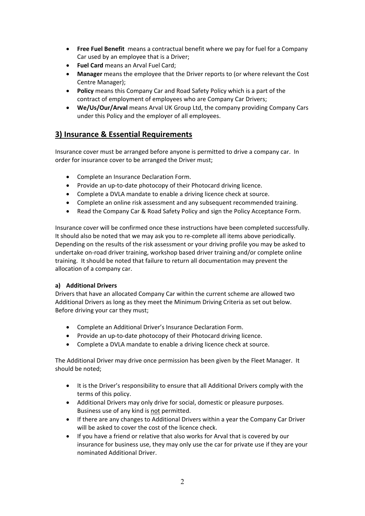- **Free Fuel Benefit**  means a contractual benefit where we pay for fuel for a Company Car used by an employee that is a Driver;
- **Fuel Card** means an Arval Fuel Card;
- **Manager** means the employee that the Driver reports to (or where relevant the Cost Centre Manager);
- **Policy** means this Company Car and Road Safety Policy which is a part of the contract of employment of employees who are Company Car Drivers;
- **We/Us/Our/Arval** means Arval UK Group Ltd, the company providing Company Cars under this Policy and the employer of all employees.

# **3) Insurance & Essential Requirements**

Insurance cover must be arranged before anyone is permitted to drive a company car. In order for insurance cover to be arranged the Driver must;

- Complete an Insurance Declaration Form.
- Provide an up-to-date photocopy of their Photocard driving licence.
- Complete a DVLA mandate to enable a driving licence check at source.
- Complete an online risk assessment and any subsequent recommended training.
- Read the Company Car & Road Safety Policy and sign the Policy Acceptance Form.

Insurance cover will be confirmed once these instructions have been completed successfully. It should also be noted that we may ask you to re-complete all items above periodically. Depending on the results of the risk assessment or your driving profile you may be asked to undertake on‐road driver training, workshop based driver training and/or complete online training. It should be noted that failure to return all documentation may prevent the allocation of a company car.

#### **a) Additional Drivers**

Drivers that have an allocated Company Car within the current scheme are allowed two Additional Drivers as long as they meet the Minimum Driving Criteria as set out below. Before driving your car they must;

- Complete an Additional Driver's Insurance Declaration Form.
- Provide an up-to-date photocopy of their Photocard driving licence.
- Complete a DVLA mandate to enable a driving licence check at source.

The Additional Driver may drive once permission has been given by the Fleet Manager. It should be noted;

- It is the Driver's responsibility to ensure that all Additional Drivers comply with the terms of this policy.
- Additional Drivers may only drive for social, domestic or pleasure purposes. Business use of any kind is not permitted.
- If there are any changes to Additional Drivers within a year the Company Car Driver will be asked to cover the cost of the licence check.
- If you have a friend or relative that also works for Arval that is covered by our insurance for business use, they may only use the car for private use if they are your nominated Additional Driver.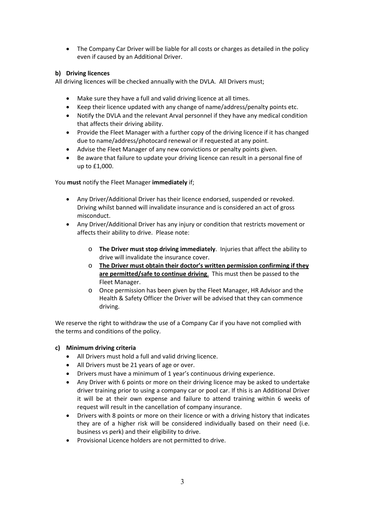The Company Car Driver will be liable for all costs or charges as detailed in the policy even if caused by an Additional Driver.

#### **b) Driving licences**

All driving licences will be checked annually with the DVLA. All Drivers must;

- Make sure they have a full and valid driving licence at all times.
- Keep their licence updated with any change of name/address/penalty points etc.
- Notify the DVLA and the relevant Arval personnel if they have any medical condition that affects their driving ability.
- Provide the Fleet Manager with a further copy of the driving licence if it has changed due to name/address/photocard renewal or if requested at any point.
- Advise the Fleet Manager of any new convictions or penalty points given.
- Be aware that failure to update your driving licence can result in a personal fine of up to £1,000.

#### You **must** notify the Fleet Manager **immediately** if;

- Any Driver/Additional Driver has their licence endorsed, suspended or revoked. Driving whilst banned will invalidate insurance and is considered an act of gross misconduct.
- Any Driver/Additional Driver has any injury or condition that restricts movement or affects their ability to drive. Please note:
	- o **The Driver must stop driving immediately**. Injuries that affect the ability to drive will invalidate the insurance cover.
	- o **The Driver must obtain their doctor's written permission confirming if they are permitted/safe to continue driving**. This must then be passed to the Fleet Manager.
	- o Once permission has been given by the Fleet Manager, HR Advisor and the Health & Safety Officer the Driver will be advised that they can commence driving.

We reserve the right to withdraw the use of a Company Car if you have not complied with the terms and conditions of the policy.

#### **c) Minimum driving criteria**

- All Drivers must hold a full and valid driving licence.
- All Drivers must be 21 years of age or over.
- Drivers must have a minimum of 1 year's continuous driving experience.
- Any Driver with 6 points or more on their driving licence may be asked to undertake driver training prior to using a company car or pool car. If this is an Additional Driver it will be at their own expense and failure to attend training within 6 weeks of request will result in the cancellation of company insurance.
- Drivers with 8 points or more on their licence or with a driving history that indicates they are of a higher risk will be considered individually based on their need (i.e. business vs perk) and their eligibility to drive.
- Provisional Licence holders are not permitted to drive.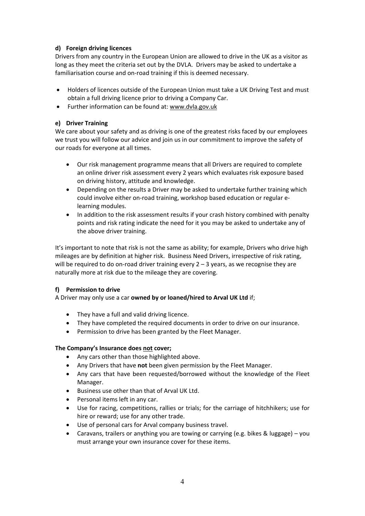#### **d) Foreign driving licences**

Drivers from any country in the European Union are allowed to drive in the UK as a visitor as long as they meet the criteria set out by the DVLA. Drivers may be asked to undertake a familiarisation course and on‐road training if this is deemed necessary.

- Holders of licences outside of the European Union must take a UK Driving Test and must obtain a full driving licence prior to driving a Company Car.
- Further information can be found at: www.dvla.gov.uk

#### **e) Driver Training**

We care about your safety and as driving is one of the greatest risks faced by our employees we trust you will follow our advice and join us in our commitment to improve the safety of our roads for everyone at all times.

- Our risk management programme means that all Drivers are required to complete an online driver risk assessment every 2 years which evaluates risk exposure based on driving history, attitude and knowledge.
- Depending on the results a Driver may be asked to undertake further training which could involve either on‐road training, workshop based education or regular e‐ learning modules.
- In addition to the risk assessment results if your crash history combined with penalty points and risk rating indicate the need for it you may be asked to undertake any of the above driver training.

It's important to note that risk is not the same as ability; for example, Drivers who drive high mileages are by definition at higher risk. Business Need Drivers, irrespective of risk rating, will be required to do on-road driver training every  $2 - 3$  years, as we recognise they are naturally more at risk due to the mileage they are covering.

#### **f) Permission to drive**

A Driver may only use a car **owned by or loaned/hired to Arval UK Ltd** if;

- They have a full and valid driving licence.
- They have completed the required documents in order to drive on our insurance.
- Permission to drive has been granted by the Fleet Manager.

#### **The Company's Insurance does not cover;**

- Any cars other than those highlighted above.
- Any Drivers that have **not** been given permission by the Fleet Manager.
- Any cars that have been requested/borrowed without the knowledge of the Fleet Manager.
- Business use other than that of Arval UK Ltd.
- Personal items left in any car.
- Use for racing, competitions, rallies or trials; for the carriage of hitchhikers; use for hire or reward; use for any other trade.
- Use of personal cars for Arval company business travel.
- Caravans, trailers or anything you are towing or carrying (e.g. bikes & luggage) you must arrange your own insurance cover for these items.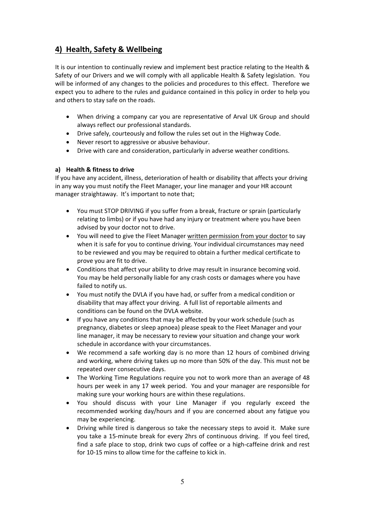# **4) Health, Safety & Wellbeing**

It is our intention to continually review and implement best practice relating to the Health & Safety of our Drivers and we will comply with all applicable Health & Safety legislation. You will be informed of any changes to the policies and procedures to this effect. Therefore we expect you to adhere to the rules and guidance contained in this policy in order to help you and others to stay safe on the roads.

- When driving a company car you are representative of Arval UK Group and should always reflect our professional standards.
- Drive safely, courteously and follow the rules set out in the Highway Code.
- Never resort to aggressive or abusive behaviour.
- Drive with care and consideration, particularly in adverse weather conditions.

#### **a) Health & fitness to drive**

If you have any accident, illness, deterioration of health or disability that affects your driving in any way you must notify the Fleet Manager, your line manager and your HR account manager straightaway. It's important to note that;

- You must STOP DRIVING if you suffer from a break, fracture or sprain (particularly relating to limbs) or if you have had any injury or treatment where you have been advised by your doctor not to drive.
- You will need to give the Fleet Manager written permission from your doctor to say when it is safe for you to continue driving. Your individual circumstances may need to be reviewed and you may be required to obtain a further medical certificate to prove you are fit to drive.
- Conditions that affect your ability to drive may result in insurance becoming void. You may be held personally liable for any crash costs or damages where you have failed to notify us.
- You must notify the DVLA if you have had, or suffer from a medical condition or disability that may affect your driving. A full list of reportable ailments and conditions can be found on the DVLA website.
- If you have any conditions that may be affected by your work schedule (such as pregnancy, diabetes or sleep apnoea) please speak to the Fleet Manager and your line manager, it may be necessary to review your situation and change your work schedule in accordance with your circumstances.
- We recommend a safe working day is no more than 12 hours of combined driving and working, where driving takes up no more than 50% of the day. This must not be repeated over consecutive days.
- The Working Time Regulations require you not to work more than an average of 48 hours per week in any 17 week period. You and your manager are responsible for making sure your working hours are within these regulations.
- You should discuss with your Line Manager if you regularly exceed the recommended working day/hours and if you are concerned about any fatigue you may be experiencing.
- Driving while tired is dangerous so take the necessary steps to avoid it. Make sure you take a 15‐minute break for every 2hrs of continuous driving. If you feel tired, find a safe place to stop, drink two cups of coffee or a high-caffeine drink and rest for 10‐15 mins to allow time for the caffeine to kick in.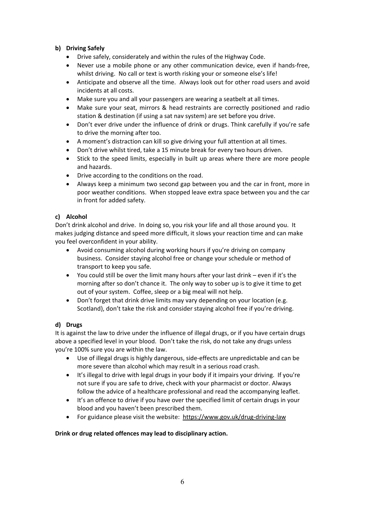#### **b) Driving Safely**

- Drive safely, considerately and within the rules of the Highway Code.
- Never use a mobile phone or any other communication device, even if hands‐free, whilst driving. No call or text is worth risking your or someone else's life!
- Anticipate and observe all the time. Always look out for other road users and avoid incidents at all costs.
- Make sure you and all your passengers are wearing a seatbelt at all times.
- Make sure your seat, mirrors & head restraints are correctly positioned and radio station & destination (if using a sat nav system) are set before you drive.
- Don't ever drive under the influence of drink or drugs. Think carefully if you're safe to drive the morning after too.
- A moment's distraction can kill so give driving your full attention at all times.
- Don't drive whilst tired, take a 15 minute break for every two hours driven.
- Stick to the speed limits, especially in built up areas where there are more people and hazards.
- Drive according to the conditions on the road.
- Always keep a minimum two second gap between you and the car in front, more in poor weather conditions. When stopped leave extra space between you and the car in front for added safety.

#### **c) Alcohol**

Don't drink alcohol and drive. In doing so, you risk your life and all those around you. It makes judging distance and speed more difficult, it slows your reaction time and can make you feel overconfident in your ability.

- Avoid consuming alcohol during working hours if you're driving on company business. Consider staying alcohol free or change your schedule or method of transport to keep you safe.
- You could still be over the limit many hours after your last drink even if it's the morning after so don't chance it. The only way to sober up is to give it time to get out of your system. Coffee, sleep or a big meal will not help.
- Don't forget that drink drive limits may vary depending on your location (e.g. Scotland), don't take the risk and consider staying alcohol free if you're driving.

#### **d) Drugs**

It is against the law to drive under the influence of illegal drugs, or if you have certain drugs above a specified level in your blood. Don't take the risk, do not take any drugs unless you're 100% sure you are within the law.

- Use of illegal drugs is highly dangerous, side‐effects are unpredictable and can be more severe than alcohol which may result in a serious road crash.
- It's illegal to drive with legal drugs in your body if it impairs your driving. If you're not sure if you are safe to drive, check with your pharmacist or doctor. Always follow the advice of a healthcare professional and read the accompanying leaflet.
- It's an offence to drive if you have over the specified limit of certain drugs in your blood and you haven't been prescribed them.
- For guidance please visit the website: https://www.gov.uk/drug‐driving‐law

#### **Drink or drug related offences may lead to disciplinary action.**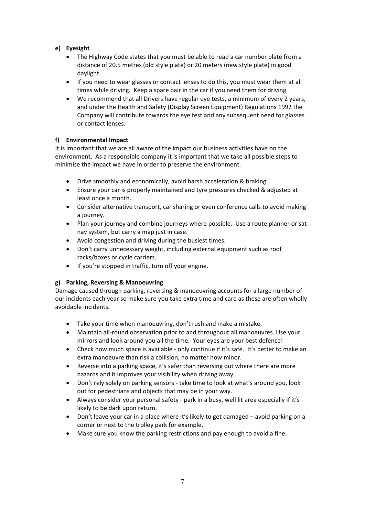#### **e) Eyesight**

- The Highway Code states that you must be able to read a car number plate from a distance of 20.5 metres (old style plate) or 20 meters (new style plate) in good daylight.
- If you need to wear glasses or contact lenses to do this, you must wear them at all times while driving. Keep a spare pair in the car if you need them for driving.
- We recommend that all Drivers have regular eye tests, a minimum of every 2 years, and under the Health and Safety (Display Screen Equipment) Regulations 1992 the Company will contribute towards the eye test and any subsequent need for glasses or contact lenses.

#### **f) Environmental Impact**

It is important that we are all aware of the impact our business activities have on the environment. As a responsible company it is important that we take all possible steps to minimise the impact we have in order to preserve the environment.

- Drive smoothly and economically, avoid harsh acceleration & braking.
- Ensure your car is properly maintained and tyre pressures checked & adjusted at least once a month.
- Consider alternative transport, car sharing or even conference calls to avoid making a journey.
- Plan your journey and combine journeys where possible. Use a route planner or sat nav system, but carry a map just in case.
- Avoid congestion and driving during the busiest times.
- Don't carry unnecessary weight, including external equipment such as roof racks/boxes or cycle carriers.
- If you're stopped in traffic, turn off your engine.

#### **g) Parking, Reversing & Manoeuvring**

Damage caused through parking, reversing & manoeuvring accounts for a large number of our incidents each year so make sure you take extra time and care as these are often wholly avoidable incidents.

- Take your time when manoeuvring, don't rush and make a mistake.
- Maintain all‐round observation prior to and throughout all manoeuvres. Use your mirrors and look around you all the time. Your eyes are your best defence!
- Check how much space is available only continue if it's safe. It's better to make an extra manoeuvre than risk a collision, no matter how minor.
- Reverse into a parking space, it's safer than reversing out where there are more hazards and it improves your visibility when driving away.
- Don't rely solely on parking sensors ‐ take time to look at what's around you, look out for pedestrians and objects that may be in your way.
- Always consider your personal safety ‐ park in a busy, well lit area especially if it's likely to be dark upon return.
- Don't leave your car in a place where it's likely to get damaged avoid parking on a corner or next to the trolley park for example.
- Make sure you know the parking restrictions and pay enough to avoid a fine.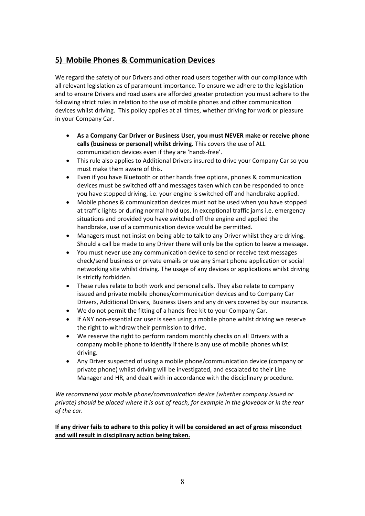# **5) Mobile Phones & Communication Devices**

We regard the safety of our Drivers and other road users together with our compliance with all relevant legislation as of paramount importance. To ensure we adhere to the legislation and to ensure Drivers and road users are afforded greater protection you must adhere to the following strict rules in relation to the use of mobile phones and other communication devices whilst driving. This policy applies at all times, whether driving for work or pleasure in your Company Car.

- **As a Company Car Driver or Business User, you must NEVER make or receive phone calls (business or personal) whilst driving.** This covers the use of ALL communication devices even if they are 'hands‐free'.
- This rule also applies to Additional Drivers insured to drive your Company Car so you must make them aware of this.
- Even if you have Bluetooth or other hands free options, phones & communication devices must be switched off and messages taken which can be responded to once you have stopped driving, i.e. your engine is switched off and handbrake applied.
- Mobile phones & communication devices must not be used when you have stopped at traffic lights or during normal hold ups. In exceptional traffic jams i.e. emergency situations and provided you have switched off the engine and applied the handbrake, use of a communication device would be permitted.
- Managers must not insist on being able to talk to any Driver whilst they are driving. Should a call be made to any Driver there will only be the option to leave a message.
- You must never use any communication device to send or receive text messages check/send business or private emails or use any Smart phone application or social networking site whilst driving. The usage of any devices or applications whilst driving is strictly forbidden.
- These rules relate to both work and personal calls. They also relate to company issued and private mobile phones/communication devices and to Company Car Drivers, Additional Drivers, Business Users and any drivers covered by our insurance.
- We do not permit the fitting of a hands-free kit to your Company Car.
- If ANY non-essential car user is seen using a mobile phone whilst driving we reserve the right to withdraw their permission to drive.
- We reserve the right to perform random monthly checks on all Drivers with a company mobile phone to identify if there is any use of mobile phones whilst driving.
- Any Driver suspected of using a mobile phone/communication device (company or private phone) whilst driving will be investigated, and escalated to their Line Manager and HR, and dealt with in accordance with the disciplinary procedure.

*We recommend your mobile phone/communication device (whether company issued or private) should be placed where it is out of reach, for example in the glovebox or in the rear of the car.*

#### **If any driver fails to adhere to this policy it will be considered an act of gross misconduct and will result in disciplinary action being taken.**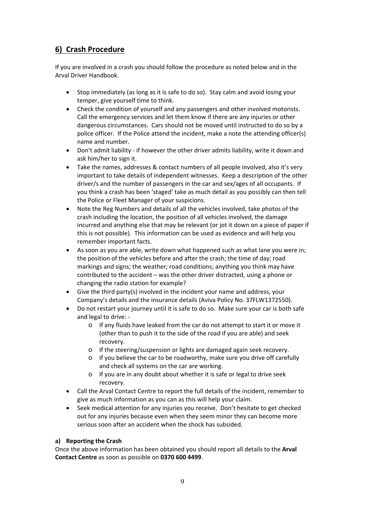# **6) Crash Procedure**

If you are involved in a crash you should follow the procedure as noted below and in the Arval Driver Handbook.

- Stop immediately (as long as it is safe to do so). Stay calm and avoid losing your temper, give yourself time to think.
- Check the condition of yourself and any passengers and other involved motorists. Call the emergency services and let them know if there are any injuries or other dangerous circumstances. Cars should not be moved until instructed to do so by a police officer. If the Police attend the incident, make a note the attending officer(s) name and number.
- Don't admit liability ‐ if however the other driver admits liability, write it down and ask him/her to sign it.
- Take the names, addresses & contact numbers of all people involved, also it's very important to take details of independent witnesses. Keep a description of the other driver/s and the number of passengers in the car and sex/ages of all occupants. If you think a crash has been 'staged' take as much detail as you possibly can then tell the Police or Fleet Manager of your suspicions.
- Note the Reg Numbers and details of all the vehicles involved, take photos of the crash including the location, the position of all vehicles involved, the damage incurred and anything else that may be relevant (or jot it down on a piece of paper if this is not possible). This information can be used as evidence and will help you remember important facts.
- As soon as you are able, write down what happened such as what lane you were in; the position of the vehicles before and after the crash; the time of day; road markings and signs; the weather; road conditions; anything you think may have contributed to the accident – was the other driver distracted, using a phone or changing the radio station for example?
- Give the third party(s) involved in the incident your name and address, your Company's details and the insurance details (Aviva Policy No. 37FLW1372550).
- Do not restart your journey until it is safe to do so. Make sure your car is both safe and legal to drive: ‐
	- o If any fluids have leaked from the car do not attempt to start it or move it (other than to push it to the side of the road if you are able) and seek recovery.
	- o If the steering/suspension or lights are damaged again seek recovery.
	- o If you believe the car to be roadworthy, make sure you drive off carefully and check all systems on the car are working.
	- o If you are in any doubt about whether it is safe or legal to drive seek recovery.
- Call the Arval Contact Centre to report the full details of the incident, remember to give as much information as you can as this will help your claim.
- Seek medical attention for any injuries you receive. Don't hesitate to get checked out for any injuries because even when they seem minor they can become more serious soon after an accident when the shock has subsided.

#### **a) Reporting the Crash**

Once the above information has been obtained you should report all details to the **Arval Contact Centre** as soon as possible on **0370 600 4499**.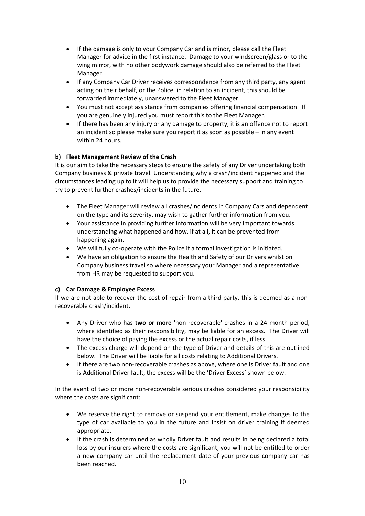- If the damage is only to your Company Car and is minor, please call the Fleet Manager for advice in the first instance. Damage to your windscreen/glass or to the wing mirror, with no other bodywork damage should also be referred to the Fleet Manager.
- If any Company Car Driver receives correspondence from any third party, any agent acting on their behalf, or the Police, in relation to an incident, this should be forwarded immediately, unanswered to the Fleet Manager.
- You must not accept assistance from companies offering financial compensation. If you are genuinely injured you must report this to the Fleet Manager.
- If there has been any injury or any damage to property, it is an offence not to report an incident so please make sure you report it as soon as possible – in any event within 24 hours.

#### **b) Fleet Management Review of the Crash**

It is our aim to take the necessary steps to ensure the safety of any Driver undertaking both Company business & private travel. Understanding why a crash/incident happened and the circumstances leading up to it will help us to provide the necessary support and training to try to prevent further crashes/incidents in the future.

- The Fleet Manager will review all crashes/incidents in Company Cars and dependent on the type and its severity, may wish to gather further information from you.
- Your assistance in providing further information will be very important towards understanding what happened and how, if at all, it can be prevented from happening again.
- We will fully co-operate with the Police if a formal investigation is initiated.
- We have an obligation to ensure the Health and Safety of our Drivers whilst on Company business travel so where necessary your Manager and a representative from HR may be requested to support you.

#### **c) Car Damage & Employee Excess**

If we are not able to recover the cost of repair from a third party, this is deemed as a nonrecoverable crash/incident.

- Any Driver who has **two or more** 'non‐recoverable' crashes in a 24 month period, where identified as their responsibility, may be liable for an excess. The Driver will have the choice of paying the excess or the actual repair costs, if less.
- The excess charge will depend on the type of Driver and details of this are outlined below. The Driver will be liable for all costs relating to Additional Drivers.
- If there are two non‐recoverable crashes as above, where one is Driver fault and one is Additional Driver fault, the excess will be the 'Driver Excess' shown below.

In the event of two or more non-recoverable serious crashes considered your responsibility where the costs are significant:

- We reserve the right to remove or suspend your entitlement, make changes to the type of car available to you in the future and insist on driver training if deemed appropriate.
- If the crash is determined as wholly Driver fault and results in being declared a total loss by our insurers where the costs are significant, you will not be entitled to order a new company car until the replacement date of your previous company car has been reached.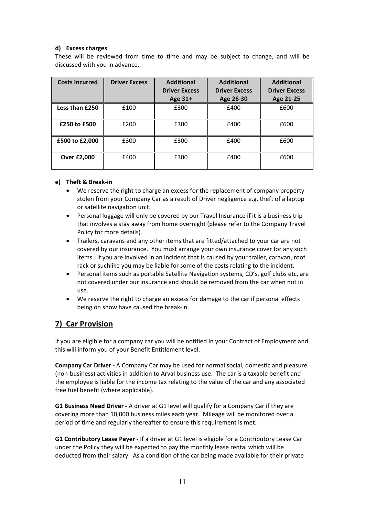#### **d) Excess charges**

These will be reviewed from time to time and may be subject to change, and will be discussed with you in advance.

| <b>Costs Incurred</b> | <b>Driver Excess</b> | <b>Additional</b>    | <b>Additional</b>    | <b>Additional</b>    |
|-----------------------|----------------------|----------------------|----------------------|----------------------|
|                       |                      | <b>Driver Excess</b> | <b>Driver Excess</b> | <b>Driver Excess</b> |
|                       |                      | Age 31+              | Age 26-30            | Age 21-25            |
| Less than £250        | £100                 | £300                 | £400                 | £600                 |
| £250 to £500          | £200                 | £300                 | £400                 | £600                 |
| £500 to £2,000        | £300                 | £300                 | £400                 | £600                 |
| Over £2,000           | £400                 | £300                 | £400                 | £600                 |

#### **e) Theft & Break‐in**

- We reserve the right to charge an excess for the replacement of company property stolen from your Company Car as a result of Driver negligence e.g. theft of a laptop or satellite navigation unit.
- Personal luggage will only be covered by our Travel Insurance if it is a business trip that involves a stay away from home overnight (please refer to the Company Travel Policy for more details).
- Trailers, caravans and any other items that are fitted/attached to your car are not covered by our insurance. You must arrange your own insurance cover for any such items. If you are involved in an incident that is caused by your trailer, caravan, roof rack or suchlike you may be liable for some of the costs relating to the incident.
- Personal items such as portable Satellite Navigation systems, CD's, golf clubs etc, are not covered under our insurance and should be removed from the car when not in use.
- We reserve the right to charge an excess for damage to the car if personal effects being on show have caused the break‐in.

## **7) Car Provision**

If you are eligible for a company car you will be notified in your Contract of Employment and this will inform you of your Benefit Entitlement level.

**Company Car Driver ‐** A Company Car may be used for normal social, domestic and pleasure (non‐business) activities in addition to Arval business use. The car is a taxable benefit and the employee is liable for the income tax relating to the value of the car and any associated free fuel benefit (where applicable).

**G1 Business Need Driver ‐** A driver at G1 level will qualify for a Company Car if they are covering more than 10,000 business miles each year. Mileage will be monitored over a period of time and regularly thereafter to ensure this requirement is met.

**G1 Contributory Lease Payer ‐** If a driver at G1 level is eligible for a Contributory Lease Car under the Policy they will be expected to pay the monthly lease rental which will be deducted from their salary. As a condition of the car being made available for their private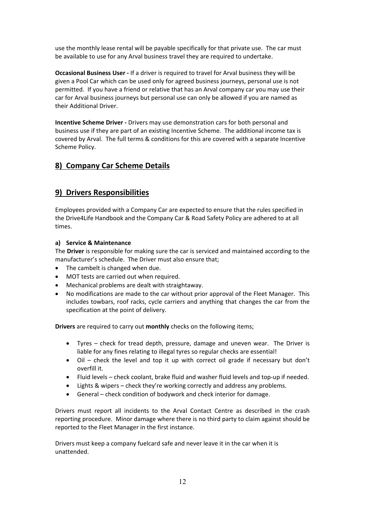use the monthly lease rental will be payable specifically for that private use. The car must be available to use for any Arval business travel they are required to undertake.

**Occasional Business User ‐** If a driver is required to travel for Arval business they will be given a Pool Car which can be used only for agreed business journeys, personal use is not permitted. If you have a friend or relative that has an Arval company car you may use their car for Arval business journeys but personal use can only be allowed if you are named as their Additional Driver.

**Incentive Scheme Driver - Drivers may use demonstration cars for both personal and** business use if they are part of an existing Incentive Scheme. The additional income tax is covered by Arval. The full terms & conditions for this are covered with a separate Incentive Scheme Policy.

# **8) Company Car Scheme Details**

# **9) Drivers Responsibilities**

Employees provided with a Company Car are expected to ensure that the rules specified in the Drive4Life Handbook and the Company Car & Road Safety Policy are adhered to at all times.

#### **a) Service & Maintenance**

The **Driver** is responsible for making sure the car is serviced and maintained according to the manufacturer's schedule. The Driver must also ensure that;

- The cambelt is changed when due.
- MOT tests are carried out when required.
- Mechanical problems are dealt with straightaway.
- No modifications are made to the car without prior approval of the Fleet Manager. This includes towbars, roof racks, cycle carriers and anything that changes the car from the specification at the point of delivery.

**Drivers** are required to carry out **monthly** checks on the following items;

- Tyres check for tread depth, pressure, damage and uneven wear. The Driver is liable for any fines relating to illegal tyres so regular checks are essential!
- Oil check the level and top it up with correct oil grade if necessary but don't overfill it.
- Fluid levels check coolant, brake fluid and washer fluid levels and top‐up if needed.
- Lights & wipers check they're working correctly and address any problems.
- General check condition of bodywork and check interior for damage.

Drivers must report all incidents to the Arval Contact Centre as described in the crash reporting procedure. Minor damage where there is no third party to claim against should be reported to the Fleet Manager in the first instance.

Drivers must keep a company fuelcard safe and never leave it in the car when it is unattended.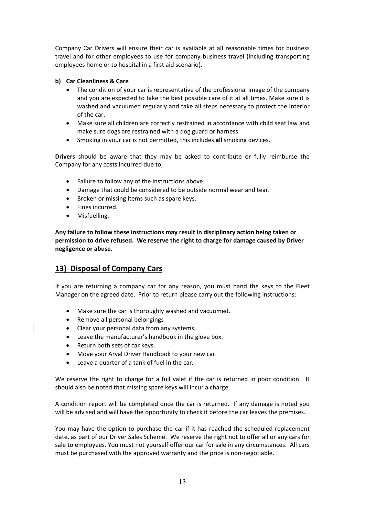Company Car Drivers will ensure their car is available at all reasonable times for business travel and for other employees to use for company business travel (including transporting employees home or to hospital in a first aid scenario).

#### **b) Car Cleanliness & Care**

- The condition of your car is representative of the professional image of the company and you are expected to take the best possible care of it at all times. Make sure it is washed and vacuumed regularly and take all steps necessary to protect the interior of the car.
- Make sure all children are correctly restrained in accordance with child seat law and make sure dogs are restrained with a dog guard or harness.
- Smoking in your car is not permitted, this includes **all** smoking devices.

**Drivers** should be aware that they may be asked to contribute or fully reimburse the Company for any costs incurred due to;

- Failure to follow any of the instructions above.
- Damage that could be considered to be outside normal wear and tear.
- Broken or missing items such as spare keys.
- Fines incurred.
- Misfuelling.

**Any failure to follow these instructions may result in disciplinary action being taken or permission to drive refused. We reserve the right to charge for damage caused by Driver negligence or abuse.** 

## **13) Disposal of Company Cars**

If you are returning a company car for any reason, you must hand the keys to the Fleet Manager on the agreed date. Prior to return please carry out the following instructions:

- Make sure the car is thoroughly washed and vacuumed.
- Remove all personal belongings
- Clear your personal data from any systems.
- Leave the manufacturer's handbook in the glove box.
- Return both sets of car keys.
- Move your Arval Driver Handbook to your new car.
- Leave a quarter of a tank of fuel in the car.

We reserve the right to charge for a full valet if the car is returned in poor condition. It should also be noted that missing spare keys will incur a charge.

A condition report will be completed once the car is returned. If any damage is noted you will be advised and will have the opportunity to check it before the car leaves the premises.

You may have the option to purchase the car if it has reached the scheduled replacement date, as part of our Driver Sales Scheme. We reserve the right not to offer all or any cars for sale to employees. You must not yourself offer our car for sale in any circumstances. All cars must be purchased with the approved warranty and the price is non‐negotiable.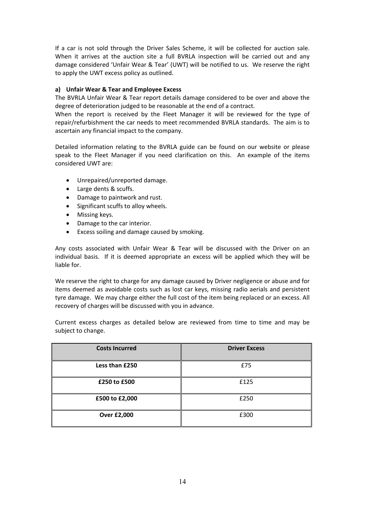If a car is not sold through the Driver Sales Scheme, it will be collected for auction sale. When it arrives at the auction site a full BVRLA inspection will be carried out and any damage considered 'Unfair Wear & Tear' (UWT) will be notified to us. We reserve the right to apply the UWT excess policy as outlined.

#### **a) Unfair Wear & Tear and Employee Excess**

The BVRLA Unfair Wear & Tear report details damage considered to be over and above the degree of deterioration judged to be reasonable at the end of a contract.

When the report is received by the Fleet Manager it will be reviewed for the type of repair/refurbishment the car needs to meet recommended BVRLA standards. The aim is to ascertain any financial impact to the company.

Detailed information relating to the BVRLA guide can be found on our website or please speak to the Fleet Manager if you need clarification on this. An example of the items considered UWT are:

- Unrepaired/unreported damage.
- Large dents & scuffs.
- Damage to paintwork and rust.
- Significant scuffs to alloy wheels.
- Missing keys.
- Damage to the car interior.
- Excess soiling and damage caused by smoking.

Any costs associated with Unfair Wear & Tear will be discussed with the Driver on an individual basis. If it is deemed appropriate an excess will be applied which they will be liable for.

We reserve the right to charge for any damage caused by Driver negligence or abuse and for items deemed as avoidable costs such as lost car keys, missing radio aerials and persistent tyre damage. We may charge either the full cost of the item being replaced or an excess. All recovery of charges will be discussed with you in advance.

Current excess charges as detailed below are reviewed from time to time and may be subject to change.

| <b>Costs Incurred</b> | <b>Driver Excess</b> |
|-----------------------|----------------------|
| Less than £250        | £75                  |
| £250 to £500          | £125                 |
| £500 to £2,000        | £250                 |
| <b>Over £2,000</b>    | £300                 |